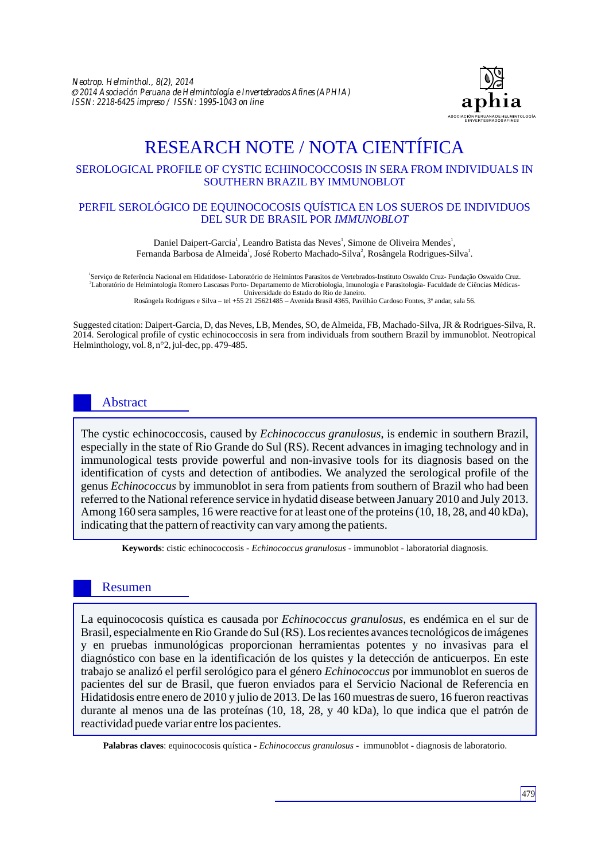

# RESEARCH NOTE / NOTA CIENTÍFICA

## SEROLOGICAL PROFILE OF CYSTIC ECHINOCOCCOSIS IN SERA FROM INDIVIDUALS IN SOUTHERN BRAZIL BY IMMUNOBLOT

#### PERFIL SEROLÓGICO DE EQUINOCOCOSIS QUÍSTICA EN LOS SUEROS DE INDIVIDUOS DEL SUR DE BRASIL POR *IMMUNOBLOT*

Daniel Daipert-Garcia<sup>'</sup>, Leandro Batista das Neves<sup>'</sup>, Simone de Oliveira Mendes<sup>'</sup>, Fernanda Barbosa de Almeida<sup>1</sup>, José Roberto Machado-Silva<sup>2</sup>, Rosângela Rodrigues-Silva<sup>1</sup>.

Serviço de Referência Nacional em Hidatidose- Laboratório de Helmintos Parasitos de Vertebrados-Instituto Oswaldo Cruz- Fundação Oswaldo Cruz. 2 Laboratório de Helmintologia Romero Lascasas Porto- Departamento de Microbiologia, Imunologia e Parasitologia- Faculdade de Ciências Médicas-Universidade do Estado do Rio de Janeiro. Rosângela Rodrigues e Silva – tel +55 21 25621485 – Avenida Brasil 4365, Pavilhão Cardoso Fontes, 3ª andar, sala 56.

Suggested citation: Daipert-Garcia, D, das Neves, LB, Mendes, SO, de Almeida, FB, Machado-Silva, JR & Rodrigues-Silva, R. 2014. Serological profile of cystic echinococcosis in sera from individuals from southern Brazil by immunoblot. Neotropical Helminthology, vol. 8, n°2, jul-dec, pp. 479-485.

# Abstract

The cystic echinococcosis, caused by *Echinococcus granulosus*, is endemic in southern Brazil, especially in the state of Rio Grande do Sul (RS). Recent advances in imaging technology and in immunological tests provide powerful and non-invasive tools for its diagnosis based on the identification of cysts and detection of antibodies. We analyzed the serological profile of the genus *Echinococcus* by immunoblot in sera from patients from southern of Brazil who had been referred to the National reference service in hydatid disease between January 2010 and July 2013. Among 160 sera samples, 16 were reactive for at least one of the proteins (10, 18, 28, and 40 kDa), indicating that the pattern of reactivity can vary among the patients.

**Keywords**: cistic echinococcosis - *Echinococcus granulosus* - immunoblot - laboratorial diagnosis.

## Resumen

La equinococosis quística es causada por *Echinococcus granulosus*, es endémica en el sur de Brasil, especialmente en Rio Grande do Sul (RS). Los recientes avances tecnológicos de imágenes y en pruebas inmunológicas proporcionan herramientas potentes y no invasivas para el diagnóstico con base en la identificación de los quistes y la detección de anticuerpos. En este trabajo se analizó el perfil serológico para el género *Echinococcus* por immunoblot en sueros de pacientes del sur de Brasil, que fueron enviados para el Servicio Nacional de Referencia en Hidatidosis entre enero de 2010 y julio de 2013. De las 160 muestras de suero, 16 fueron reactivas durante al menos una de las proteínas (10, 18, 28, y 40 kDa), lo que indica que el patrón de reactividad puede variar entre los pacientes.

**Palabras claves**: equinococosis quística - *Echinococcus granulosus* - immunoblot - diagnosis de laboratorio.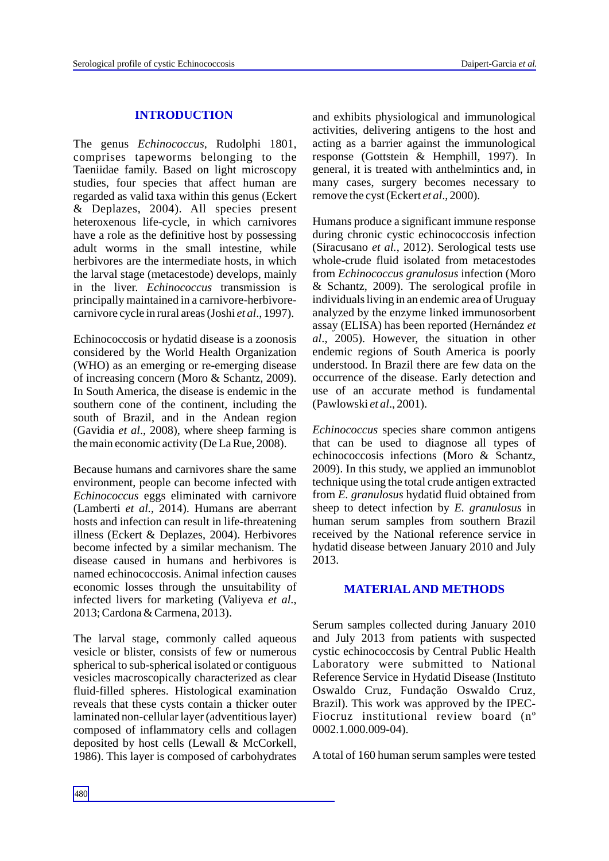# **INTRODUCTION**

The genus *Echinococcus*, Rudolphi 1801, comprises tapeworms belonging to the Taeniidae family. Based on light microscopy studies, four species that affect human are regarded as valid taxa within this genus (Eckert & Deplazes, 2004). All species present heteroxenous life-cycle, in which carnivores have a role as the definitive host by possessing adult worms in the small intestine, while herbivores are the intermediate hosts, in which the larval stage (metacestode) develops, mainly in the liver. *Echinococcus* transmission is principally maintained in a carnivore-herbivorecarnivore cycle in rural areas (Joshi *et al*., 1997).

Echinococcosis or hydatid disease is a zoonosis considered by the World Health Organization (WHO) as an emerging or re-emerging disease of increasing concern (Moro & Schantz, 2009). In South America, the disease is endemic in the southern cone of the continent, including the south of Brazil, and in the Andean region (Gavidia *et al*., 2008), where sheep farming is the main economic activity (De La Rue, 2008).

Because humans and carnivores share the same environment, people can become infected with *Echinococcus* eggs eliminated with carnivore (Lamberti *et al.*, 2014). Humans are aberrant hosts and infection can result in life-threatening illness (Eckert & Deplazes, 2004). Herbivores become infected by a similar mechanism. The disease caused in humans and herbivores is named echinococcosis. Animal infection causes economic losses through the unsuitability of infected livers for marketing (Valiyeva *et al*., 2013; Cardona & Carmena, 2013).

The larval stage, commonly called aqueous vesicle or blister, consists of few or numerous spherical to sub-spherical isolated or contiguous vesicles macroscopically characterized as clear fluid-filled spheres. Histological examination reveals that these cysts contain a thicker outer laminated non-cellular layer (adventitious layer) composed of inflammatory cells and collagen deposited by host cells (Lewall & McCorkell, 1986). This layer is composed of carbohydrates and exhibits physiological and immunological activities, delivering antigens to the host and acting as a barrier against the immunological response (Gottstein & Hemphill, 1997). In general, it is treated with anthelmintics and, in many cases, surgery becomes necessary to remove the cyst (Eckert *et al*., 2000).

Humans produce a significant immune response during chronic cystic echinococcosis infection (Siracusano *et al.*, 2012). Serological tests use whole-crude fluid isolated from metacestodes from *Echinococcus granulosus* infection (Moro & Schantz, 2009). The serological profile in individuals living in an endemic area of Uruguay analyzed by the enzyme linked immunosorbent assay (ELISA) has been reported (Hernández *et al*., 2005). However, the situation in other endemic regions of South America is poorly understood. In Brazil there are few data on the occurrence of the disease. Early detection and use of an accurate method is fundamental (Pawlowski *et al*., 2001).

*Echinococcus* species share common antigens that can be used to diagnose all types of echinococcosis infections (Moro & Schantz, 2009). In this study, we applied an immunoblot technique using the total crude antigen extracted from *E. granulosus* hydatid fluid obtained from sheep to detect infection by *E. granulosus* in human serum samples from southern Brazil received by the National reference service in hydatid disease between January 2010 and July 2013.

## **MATERIALAND METHODS**

Serum samples collected during January 2010 and July 2013 from patients with suspected cystic echinococcosis by Central Public Health Laboratory were submitted to National Reference Service in Hydatid Disease (Instituto Oswaldo Cruz, Fundação Oswaldo Cruz, Brazil). This work was approved by the IPEC-Fiocruz institutional review board (nº 0002.1.000.009-04).

Atotal of 160 human serum samples were tested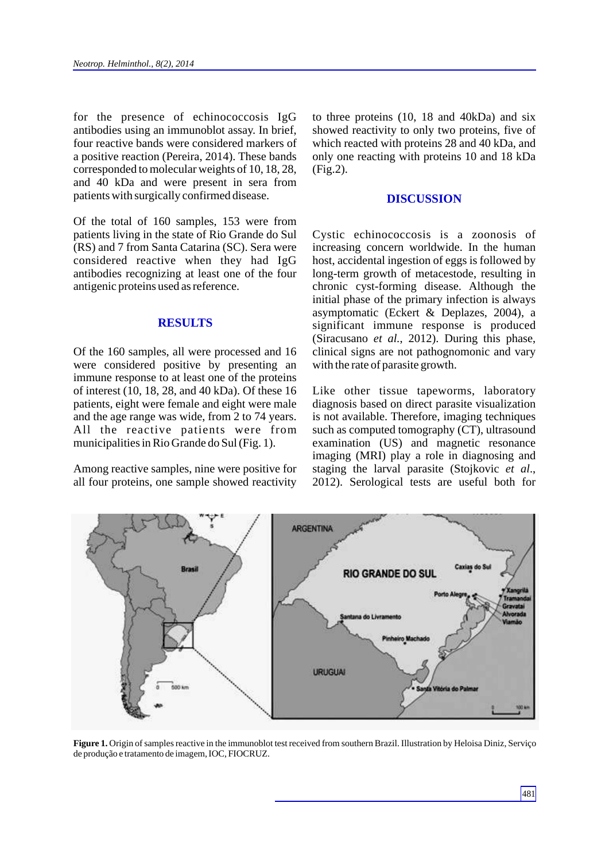for the presence of echinococcosis IgG antibodies using an immunoblot assay. In brief, four reactive bands were considered markers of a positive reaction (Pereira, 2014). These bands corresponded to molecular weights of 10, 18, 28, and 40 kDa and were present in sera from patients with surgically confirmed disease.

Of the total of 160 samples, 153 were from patients living in the state of Rio Grande do Sul (RS) and 7 from Santa Catarina (SC). Sera were considered reactive when they had IgG antibodies recognizing at least one of the four antigenic proteins used as reference.

#### **RESULTS**

Of the 160 samples, all were processed and 16 were considered positive by presenting an immune response to at least one of the proteins of interest (10, 18, 28, and 40 kDa). Of these 16 patients, eight were female and eight were male and the age range was wide, from 2 to 74 years. All the reactive patients were from municipalities in Rio Grande do Sul (Fig. 1).

Among reactive samples, nine were positive for all four proteins, one sample showed reactivity to three proteins (10, 18 and 40kDa) and six showed reactivity to only two proteins, five of which reacted with proteins 28 and 40 kDa, and only one reacting with proteins 10 and 18 kDa (Fig.2).

#### **DISCUSSION**

Cystic echinococcosis is a zoonosis of increasing concern worldwide. In the human host, accidental ingestion of eggs is followed by long-term growth of metacestode, resulting in chronic cyst-forming disease. Although the initial phase of the primary infection is always asymptomatic (Eckert & Deplazes, 2004), a significant immune response is produced (Siracusano *et al.*, 2012). During this phase, clinical signs are not pathognomonic and vary with the rate of parasite growth.

Like other tissue tapeworms, laboratory diagnosis based on direct parasite visualization is not available. Therefore, imaging techniques such as computed tomography (CT), ultrasound examination (US) and magnetic resonance imaging (MRI) play a role in diagnosing and staging the larval parasite (Stojkovic *et al*., 2012). Serological tests are useful both for



**Figure 1.** Origin of samples reactive in the immunoblot test received from southern Brazil. Illustration by Heloisa Diniz, Serviço de produção e tratamento de imagem, IOC, FIOCRUZ.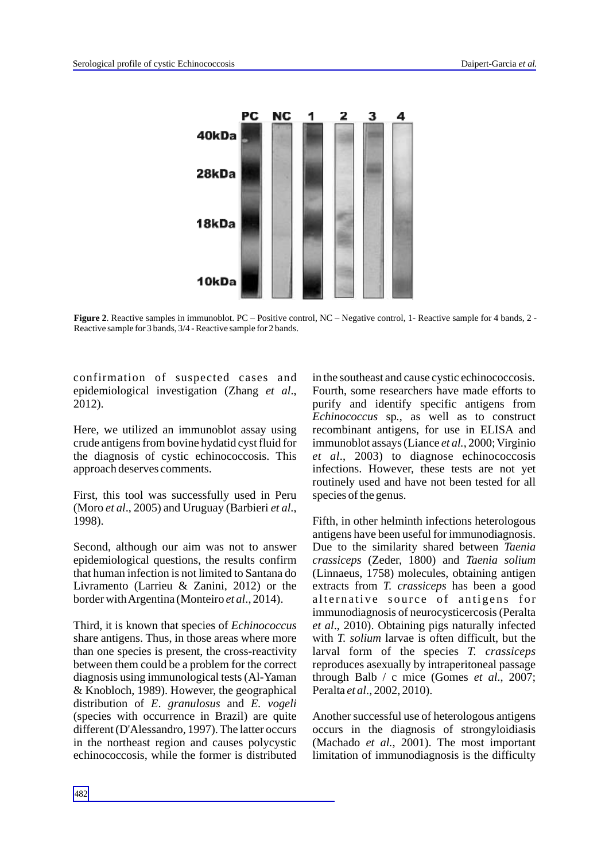

**Figure 2.** Reactive samples in immunoblot. PC – Positive control, NC – Negative control, 1- Reactive sample for 4 bands, 2 -Reactive sample for 3 bands, 3/4 - Reactive sample for 2 bands.

confirmation of suspected cases and epidemiological investigation (Zhang *et al*., 2012).

Here, we utilized an immunoblot assay using crude antigens from bovine hydatid cyst fluid for the diagnosis of cystic echinococcosis. This approach deserves comments.

First, this tool was successfully used in Peru (Moro *et al*., 2005) and Uruguay (Barbieri *et al*., 1998).

Second, although our aim was not to answer epidemiological questions, the results confirm that human infection is not limited to Santana do Livramento (Larrieu & Zanini, 2012) or the border with Argentina (Monteiro *et al*., 2014).

Third, it is known that species of *Echinococcus* share antigens. Thus, in those areas where more than one species is present, the cross-reactivity between them could be a problem for the correct diagnosis using immunological tests (Al-Yaman & Knobloch, 1989). However, the geographical distribution of *E*. *granulosus* and *E. vogeli*  (species with occurrence in Brazil) are quite different (D'Alessandro, 1997). The latter occurs in the northeast region and causes polycystic echinococcosis, while the former is distributed

in the southeast and cause cystic echinococcosis. Fourth, some researchers have made efforts to purify and identify specific antigens from *Echinococcus* sp*.*, as well as to construct recombinant antigens, for use in ELISA and immunoblot assays (Liance *et al.*, 2000; Virginio *et al*., 2003) to diagnose echinococcosis infections. However, these tests are not yet routinely used and have not been tested for all species of the genus.

Fifth, in other helminth infections heterologous antigens have been useful for immunodiagnosis. Due to the similarity shared between *Taenia crassiceps* (Zeder, 1800) and *Taenia solium* (Linnaeus, 1758) molecules, obtaining antigen extracts from *T. crassiceps* has been a good alternative source of antigens for immunodiagnosis of neurocysticercosis (Peralta *et al*., 2010). Obtaining pigs naturally infected with *T. solium* larvae is often difficult, but the larval form of the species *T. crassiceps* reproduces asexually by intraperitoneal passage through Balb / c mice (Gomes *et al*., 2007; Peralta *et al*., 2002, 2010).

Another successful use of heterologous antigens occurs in the diagnosis of strongyloidiasis (Machado *et al.*, 2001). The most important limitation of immunodiagnosis is the difficulty

482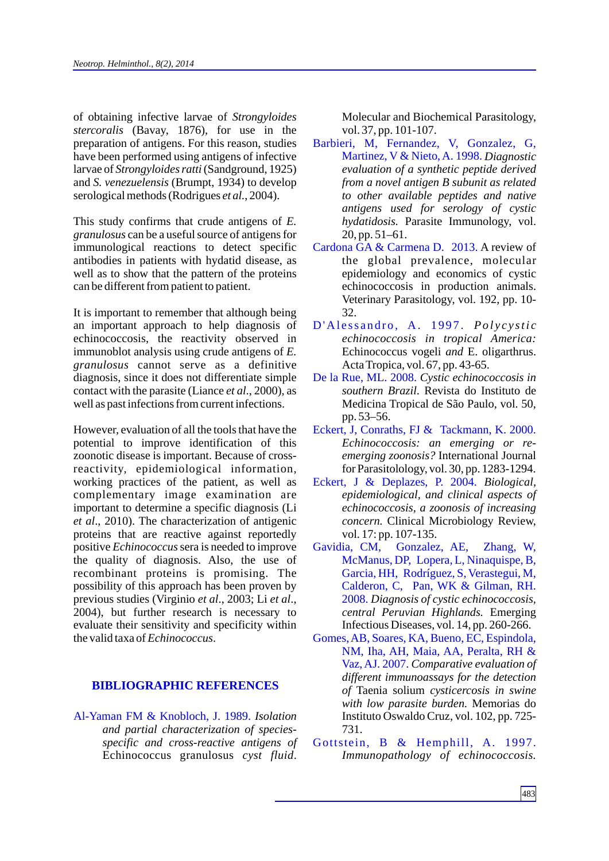of obtaining infective larvae of *Strongyloides stercoralis* (Bavay, 1876), for use in the preparation of antigens. For this reason, studies have been performed using antigens of infective larvae of *Strongyloides ratti*(Sandground, 1925) and *S. venezuelensis* (Brumpt, 1934) to develop serological methods (Rodrigues *et al.*, 2004).

This study confirms that crude antigens of *E. granulosus* can be a useful source of antigens for immunological reactions to detect specific antibodies in patients with hydatid disease, as well as to show that the pattern of the proteins can be different from patient to patient.

It is important to remember that although being an important approach to help diagnosis of echinococcosis, the reactivity observed in immunoblot analysis using crude antigens of *E. granulosus* cannot serve as a definitive diagnosis, since it does not differentiate simple contact with the parasite (Liance *et al*., 2000), as well as past infections from current infections.

However, evaluation of all the tools that have the potential to improve identification of this zoonotic disease is important. Because of crossreactivity, epidemiological information, working practices of the patient, as well as complementary image examination are important to determine a specific diagnosis (Li *et al*., 2010). The characterization of antigenic proteins that are reactive against reportedly positive *Echinococcus* sera is needed to improve the quality of diagnosis. Also, the use of recombinant proteins is promising. The possibility of this approach has been proven by previous studies (Virginio *et al*., 2003; Li *et al*., 2004), but further research is necessary to evaluate their sensitivity and specificity within the valid taxa of *Echinococcus*.

## **BIBLIOGRAPHIC REFERENCES**

Al-Yaman FM & Knobloch, J. 1989. *Isolation and partial characterization of speciesspecific and cross-reactive antigens of*  Echinococcus granulosus *cyst fluid*.

Molecular and Biochemical Parasitology, vol. 37, pp. 101-107.

- Martinez, V & Nieto, A. 1998. Diagnostic *evaluation of a synthetic peptide derived from a novel antigen B subunit as related to other available peptides and native antigens used for serology of cystic hydatidosis.* Parasite Immunology, vol. 20, pp. 51–61. Barbieri, M, Fernandez, V, Gonzalez, G,
- Cardona GA & Carmena D. 2013. A review of the global prevalence, molecular epidemiology and economics of cystic echinococcosis in production animals. Veterinary Parasitology, vol. 192, pp. 10- 32.
- *P*'Alessandro, A. 1997. Polycystic *echinococcosis in tropical America:* Echinococcus vogeli *and* E. oligarthrus. Acta Tropica, vol. 67, pp. 43-65.
- *Cystic echinococcosis in*  De la Rue, ML. 2008. *southern Brazil*. Revista do Instituto de Medicina Tropical de São Paulo, vol. 50, pp. 53–56.
- *Echinococcosis: an emerging or reemerging zoonosis?* International Journal for Parasitolology, vol. 30, pp. 1283-1294. Eckert, J, Conraths, FJ & Tackmann, K. 2000.
- *Biological,*  Eckert, J & Deplazes, P. 2004. *epidemiological, and clinical aspects of echinococcosis, a zoonosis of increasing concern.* Clinical Microbiology Review, vol. 17: pp. 107-135.
- *Diagnosis of cystic echinococcosis,*  2008. *central Peruvian Highlands.* Emerging Infectious Diseases, vol. 14, pp. 260-266. Gavidia, CM, Gonzalez, AE, Zhang, W, McManus, DP, Lopera, L, Ninaquispe, B, Garcia, HH, Rodríguez, S, Verastegui, M, Calderon, C, Pan, WK & Gilman, RH.
- *Comparative evaluation of*  Vaz, AJ. 2007. *different immunoassays for the detection of* Taenia solium *cysticercosis in swine with low parasite burden.* Memorias do Instituto Oswaldo Cruz, vol. 102, pp. 725- 731. Gomes, AB, Soares, KA, Bueno, EC, Espindola, NM, Iha, AH, Maia, AA, Peralta, RH &
- *Immunopathology of echinococcosis.* Gottstein, B & Hemphill, A. 1997.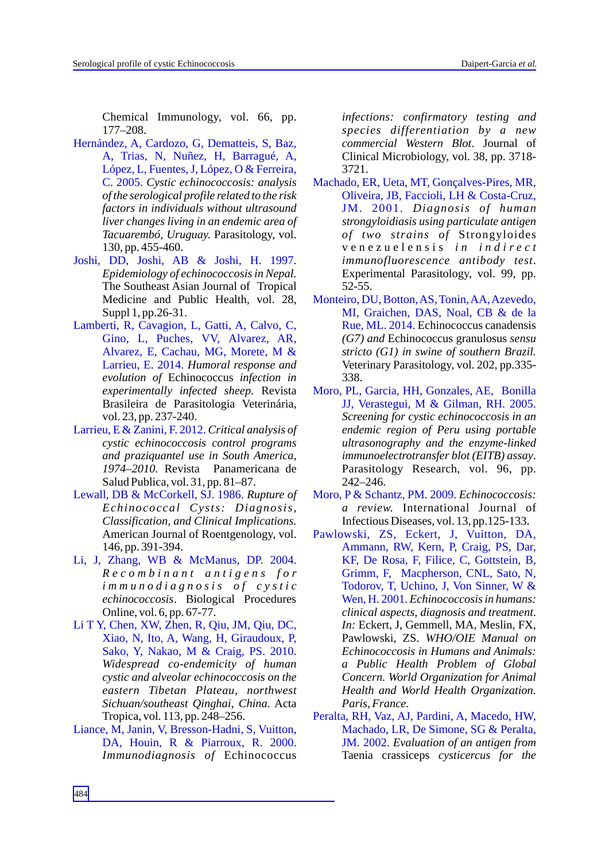Chemical Immunology, vol. 66, pp. 177–208.

- C. 2005. Cystic echinococcosis: analysis *of the serological profile related to the risk factors in individuals without ultrasound liver changes living in an endemic area of Tacuarembó, Uruguay.* Parasitology, vol. 130, pp. 455-460. Hernández, A, Cardozo, G, Dematteis, S, Baz, A, Trias, N, Nuñez, H, Barragué, A, López, L, Fuentes, J, López, O & Ferreira,
- *Epidemiology of echinococcosis in Nepal.*  The Southeast Asian Journal of Tropical Medicine and Public Health, vol. 28, Suppl 1, pp.26-31. Joshi, DD, Joshi, AB & Joshi, H. 1997.
- Larrieu, E. 2014. Humoral response and *evolution of* Echinococcus *infection in experimentally infected sheep.* Revista Brasileira de Parasitologia Veterinária, vol. 23, pp. 237-240. Lamberti, R, Cavagion, L, Gatti, A, Calvo, C, Gino, L, Puches, VV, Alvarez, AR, Alvarez, E, Cachau, MG, Morete, M &
- *Critical analysis of*  Larrieu, E & Zanini, F. 2012. *cystic echinococcosis control programs and praziquantel use in South America, 1974–2010.* Revista Panamericana de Salud Publica, vol. 31, pp. 81–87.
- Lewall, DB & McCorkell, SJ. 1986. Rupture of *Echinococcal Cysts: Diagnosis, Classification, and Clinical Implications.* American Journal of Roentgenology, vol. 146, pp. 391-394.
- *R e c o m b i n a n t a n t i g e n s f o r i m m u n o d i a g n o s i s o f c y s t i c echinococcosis*. Biological Procedures Online, vol. 6, pp. 67-77. Li, J, Zhang, WB & McManus, DP. 2004.
- *Widespread co-endemicity of human cystic and alveolar echinococcosis on the eastern Tibetan Plateau, northwest Sichuan/southeast Qinghai, China.* Acta Tropica, vol. 113, pp. 248–256. Li T Y, Chen, XW, Zhen, R, Qiu, JM, Qiu, DC, Xiao, N, Ito, A, Wang, H, Giraudoux, P, Sako, Y, Nakao, M & Craig, PS. 2010.
- *Immunodiagnosis of* Echinococcus Liance, M, Janin, V, Bresson-Hadni, S, Vuitton, DA, Houin, R & Piarroux, R. 2000.

*infections: confirmatory testing and species differentiation by a new commercial Western Blot*. Journal of Clinical Microbiology, vol. 38, pp. 3718- 3721.

- *Diagnosis of human* JM. 2001. *strongyloidiasis using particulate antigen of two strains of* Strongyloides v e n e z u e l e n s i s *i n i n d i r e c t immunofluorescence antibody test*. Experimental Parasitology, vol. 99, pp. 52-55. Machado, ER, Ueta, MT, Gonçalves-Pires, MR, Oliveira, JB, Faccioli, LH & Costa-Cruz,
- Rue, ML. 2014. Echinococcus canadensis *(G7) and* Echinococcus granulosus *sensu stricto (G1) in swine of southern Brazil.*  Veterinary Parasitology, vol. 202, pp.335- 338. Monteiro, DU, Botton, AS, Tonin, AA, Azevedo, MI, Graichen, DAS, Noal, CB & de la
- *Screening for cystic echinococcosis in an endemic region of Peru using portable ultrasonography and the enzyme-linked immunoelectrotransfer blot (EITB) assay*. Parasitology Research, vol. 96, pp. 242–246. Moro, PL, Garcia, HH, Gonzales, AE, Bonilla JJ, Verastegui, M & Gilman, RH. 2005.
- *Echinococcosis:*  Moro, P & Schantz, PM. 2009. *a review.* International Journal of Infectious Diseases, vol. 13, pp.125-133.
- *Echinococcosis in humans:*  Wen, H. 2001. *clinical aspects, diagnosis and treatment*. *In:* Eckert, J. Gemmell, MA, Meslin, FX. Pawlowski, ZS. *WHO/OIE Manual on Echinococcosis in Humans and Animals: a Public Health Problem of Global Concern. World Organization for Animal Health and World Health Organization. Paris, France.* Pawlowski, ZS, Eckert, J, Vuitton, DA, Ammann, RW, Kern, P, Craig, PS, Dar, KF, De Rosa, F, Filice, C, Gottstein, B, Grimm, F, Macpherson, CNL, Sato, N, Todorov, T, Uchino, J, Von Sinner, W &
- *Evaluation of an antigen from*  JM. 2002. Taenia crassiceps *cysticercus for the* Peralta, RH, Vaz, AJ, Pardini, A, Macedo, HW, Machado, LR, De Simone, SG & Peralta,